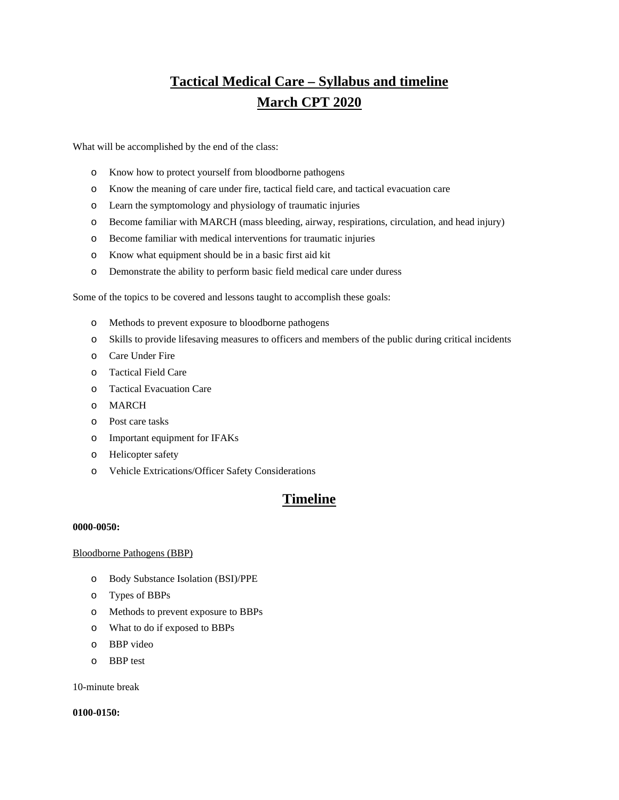# **Tactical Medical Care – Syllabus and timeline March CPT 2020**

What will be accomplished by the end of the class:

- o Know how to protect yourself from bloodborne pathogens
- o Know the meaning of care under fire, tactical field care, and tactical evacuation care
- o Learn the symptomology and physiology of traumatic injuries
- o Become familiar with MARCH (mass bleeding, airway, respirations, circulation, and head injury)
- o Become familiar with medical interventions for traumatic injuries
- o Know what equipment should be in a basic first aid kit
- o Demonstrate the ability to perform basic field medical care under duress

Some of the topics to be covered and lessons taught to accomplish these goals:

- o Methods to prevent exposure to bloodborne pathogens
- o Skills to provide lifesaving measures to officers and members of the public during critical incidents
- o Care Under Fire
- o Tactical Field Care
- o Tactical Evacuation Care
- o MARCH
- o Post care tasks
- o Important equipment for IFAKs
- o Helicopter safety
- o Vehicle Extrications/Officer Safety Considerations

## **Timeline**

## **0000-0050:**

## Bloodborne Pathogens (BBP)

- o Body Substance Isolation (BSI)/PPE
- o Types of BBPs
- o Methods to prevent exposure to BBPs
- o What to do if exposed to BBPs
- o BBP video
- o BBP test

10-minute break

## **0100-0150:**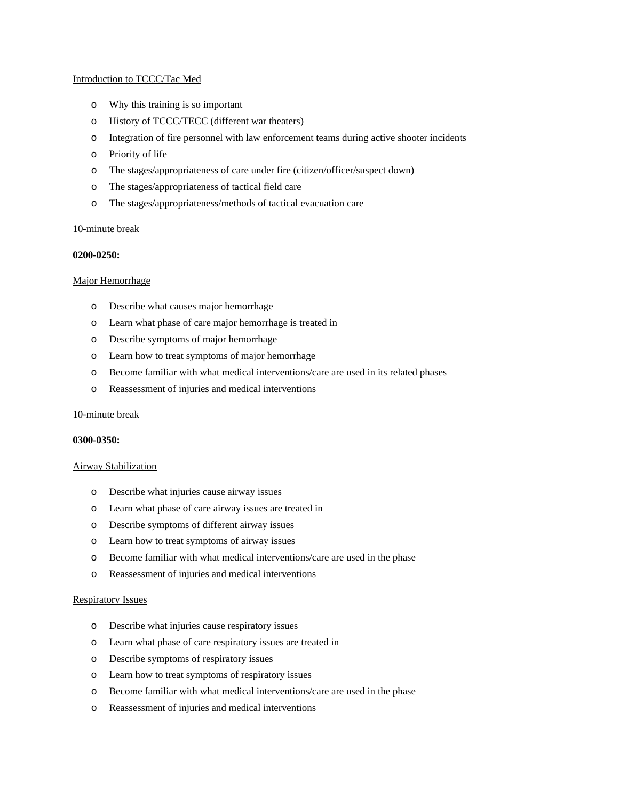## Introduction to TCCC/Tac Med

- o Why this training is so important
- o History of TCCC/TECC (different war theaters)
- o Integration of fire personnel with law enforcement teams during active shooter incidents
- o Priority of life
- o The stages/appropriateness of care under fire (citizen/officer/suspect down)
- o The stages/appropriateness of tactical field care
- o The stages/appropriateness/methods of tactical evacuation care

## 10-minute break

#### **0200-0250:**

## Major Hemorrhage

- o Describe what causes major hemorrhage
- o Learn what phase of care major hemorrhage is treated in
- o Describe symptoms of major hemorrhage
- o Learn how to treat symptoms of major hemorrhage
- o Become familiar with what medical interventions/care are used in its related phases
- o Reassessment of injuries and medical interventions

## 10-minute break

#### **0300-0350:**

## Airway Stabilization

- o Describe what injuries cause airway issues
- o Learn what phase of care airway issues are treated in
- o Describe symptoms of different airway issues
- o Learn how to treat symptoms of airway issues
- o Become familiar with what medical interventions/care are used in the phase
- o Reassessment of injuries and medical interventions

## Respiratory Issues

- o Describe what injuries cause respiratory issues
- o Learn what phase of care respiratory issues are treated in
- o Describe symptoms of respiratory issues
- o Learn how to treat symptoms of respiratory issues
- o Become familiar with what medical interventions/care are used in the phase
- o Reassessment of injuries and medical interventions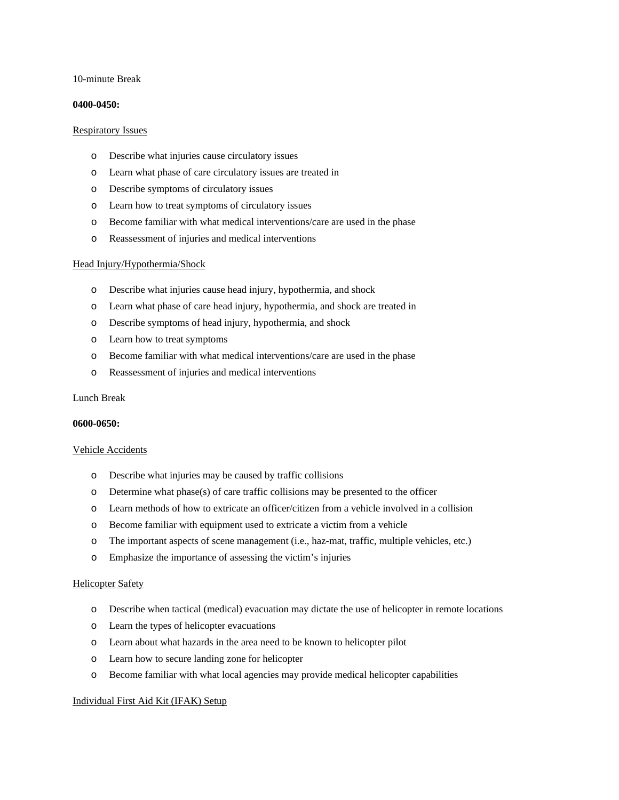## 10-minute Break

## **0400-0450:**

## Respiratory Issues

- o Describe what injuries cause circulatory issues
- o Learn what phase of care circulatory issues are treated in
- o Describe symptoms of circulatory issues
- o Learn how to treat symptoms of circulatory issues
- o Become familiar with what medical interventions/care are used in the phase
- o Reassessment of injuries and medical interventions

## Head Injury/Hypothermia/Shock

- o Describe what injuries cause head injury, hypothermia, and shock
- o Learn what phase of care head injury, hypothermia, and shock are treated in
- o Describe symptoms of head injury, hypothermia, and shock
- o Learn how to treat symptoms
- o Become familiar with what medical interventions/care are used in the phase
- o Reassessment of injuries and medical interventions

## Lunch Break

## **0600-0650:**

## Vehicle Accidents

- o Describe what injuries may be caused by traffic collisions
- o Determine what phase(s) of care traffic collisions may be presented to the officer
- o Learn methods of how to extricate an officer/citizen from a vehicle involved in a collision
- o Become familiar with equipment used to extricate a victim from a vehicle
- o The important aspects of scene management (i.e., haz-mat, traffic, multiple vehicles, etc.)
- o Emphasize the importance of assessing the victim's injuries

## Helicopter Safety

- o Describe when tactical (medical) evacuation may dictate the use of helicopter in remote locations
- o Learn the types of helicopter evacuations
- o Learn about what hazards in the area need to be known to helicopter pilot
- o Learn how to secure landing zone for helicopter
- o Become familiar with what local agencies may provide medical helicopter capabilities

## Individual First Aid Kit (IFAK) Setup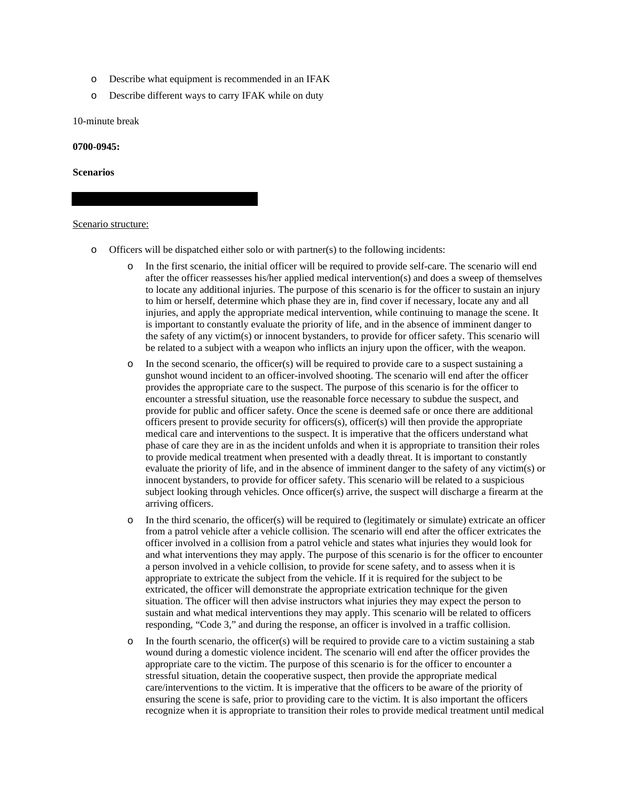- o Describe what equipment is recommended in an IFAK
- o Describe different ways to carry IFAK while on duty

10-minute break

**0700-0945:**

**Scenarios**

#### Scenario structure:

- o Officers will be dispatched either solo or with partner(s) to the following incidents:
	- In the first scenario, the initial officer will be required to provide self-care. The scenario will end after the officer reassesses his/her applied medical intervention(s) and does a sweep of themselves to locate any additional injuries. The purpose of this scenario is for the officer to sustain an injury to him or herself, determine which phase they are in, find cover if necessary, locate any and all injuries, and apply the appropriate medical intervention, while continuing to manage the scene. It is important to constantly evaluate the priority of life, and in the absence of imminent danger to the safety of any victim(s) or innocent bystanders, to provide for officer safety. This scenario will be related to a subject with a weapon who inflicts an injury upon the officer, with the weapon.
	- $\circ$  In the second scenario, the officer(s) will be required to provide care to a suspect sustaining a gunshot wound incident to an officer-involved shooting. The scenario will end after the officer provides the appropriate care to the suspect. The purpose of this scenario is for the officer to encounter a stressful situation, use the reasonable force necessary to subdue the suspect, and provide for public and officer safety. Once the scene is deemed safe or once there are additional officers present to provide security for officers(s), officer(s) will then provide the appropriate medical care and interventions to the suspect. It is imperative that the officers understand what phase of care they are in as the incident unfolds and when it is appropriate to transition their roles to provide medical treatment when presented with a deadly threat. It is important to constantly evaluate the priority of life, and in the absence of imminent danger to the safety of any victim(s) or innocent bystanders, to provide for officer safety. This scenario will be related to a suspicious subject looking through vehicles. Once officer(s) arrive, the suspect will discharge a firearm at the arriving officers.
	- o In the third scenario, the officer(s) will be required to (legitimately or simulate) extricate an officer from a patrol vehicle after a vehicle collision. The scenario will end after the officer extricates the officer involved in a collision from a patrol vehicle and states what injuries they would look for and what interventions they may apply. The purpose of this scenario is for the officer to encounter a person involved in a vehicle collision, to provide for scene safety, and to assess when it is appropriate to extricate the subject from the vehicle. If it is required for the subject to be extricated, the officer will demonstrate the appropriate extrication technique for the given situation. The officer will then advise instructors what injuries they may expect the person to sustain and what medical interventions they may apply. This scenario will be related to officers responding, "Code 3," and during the response, an officer is involved in a traffic collision.
	- $\circ$  In the fourth scenario, the officer(s) will be required to provide care to a victim sustaining a stab wound during a domestic violence incident. The scenario will end after the officer provides the appropriate care to the victim. The purpose of this scenario is for the officer to encounter a stressful situation, detain the cooperative suspect, then provide the appropriate medical care/interventions to the victim. It is imperative that the officers to be aware of the priority of ensuring the scene is safe, prior to providing care to the victim. It is also important the officers recognize when it is appropriate to transition their roles to provide medical treatment until medical